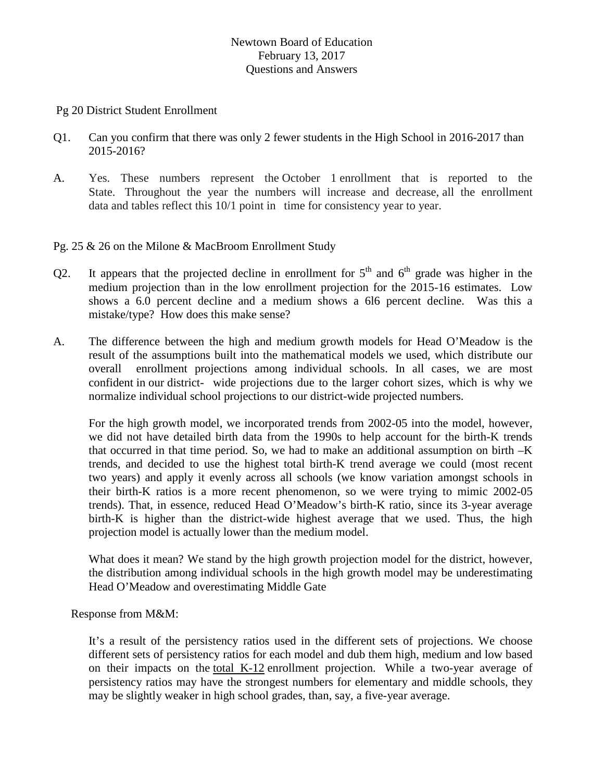## Newtown Board of Education February 13, 2017 Questions and Answers

Pg 20 District Student Enrollment

- Q1. Can you confirm that there was only 2 fewer students in the High School in 2016-2017 than 2015-2016?
- A. Yes. These numbers represent the October 1 enrollment that is reported to the State. Throughout the year the numbers will increase and decrease, all the enrollment data and tables reflect this 10/1 point in time for consistency year to year.
- Pg. 25 & 26 on the Milone & MacBroom Enrollment Study
- Q2. It appears that the projected decline in enrollment for  $5<sup>th</sup>$  and  $6<sup>th</sup>$  grade was higher in the medium projection than in the low enrollment projection for the 2015-16 estimates. Low shows a 6.0 percent decline and a medium shows a 6l6 percent decline. Was this a mistake/type? How does this make sense?
- A. The difference between the high and medium growth models for Head O'Meadow is the result of the assumptions built into the mathematical models we used, which distribute our overall enrollment projections among individual schools. In all cases, we are most confident in our district- wide projections due to the larger cohort sizes, which is why we normalize individual school projections to our district-wide projected numbers.

For the high growth model, we incorporated trends from 2002-05 into the model, however, we did not have detailed birth data from the 1990s to help account for the birth-K trends that occurred in that time period. So, we had to make an additional assumption on birth  $-K$ trends, and decided to use the highest total birth-K trend average we could (most recent two years) and apply it evenly across all schools (we know variation amongst schools in their birth-K ratios is a more recent phenomenon, so we were trying to mimic 2002-05 trends). That, in essence, reduced Head O'Meadow's birth-K ratio, since its 3-year average birth-K is higher than the district-wide highest average that we used. Thus, the high projection model is actually lower than the medium model.

What does it mean? We stand by the high growth projection model for the district, however, the distribution among individual schools in the high growth model may be underestimating Head O'Meadow and overestimating Middle Gate

Response from M&M:

It's a result of the persistency ratios used in the different sets of projections. We choose different sets of persistency ratios for each model and dub them high, medium and low based on their impacts on the total K-12 enrollment projection. While a two-year average of persistency ratios may have the strongest numbers for elementary and middle schools, they may be slightly weaker in high school grades, than, say, a five-year average.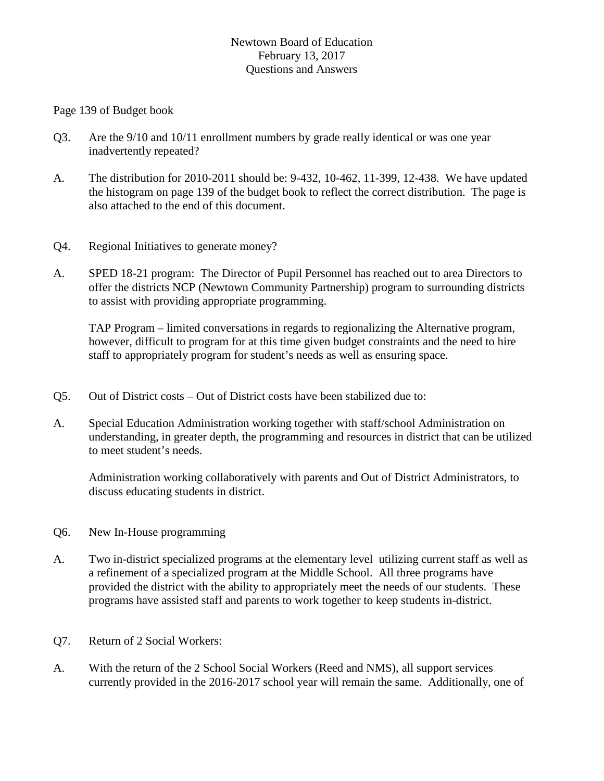## Newtown Board of Education February 13, 2017 Questions and Answers

Page 139 of Budget book

- Q3. Are the 9/10 and 10/11 enrollment numbers by grade really identical or was one year inadvertently repeated?
- A. The distribution for 2010-2011 should be: 9-432, 10-462, 11-399, 12-438. We have updated the histogram on page 139 of the budget book to reflect the correct distribution. The page is also attached to the end of this document.
- Q4. Regional Initiatives to generate money?
- A. SPED 18-21 program: The Director of Pupil Personnel has reached out to area Directors to offer the districts NCP (Newtown Community Partnership) program to surrounding districts to assist with providing appropriate programming.

TAP Program – limited conversations in regards to regionalizing the Alternative program, however, difficult to program for at this time given budget constraints and the need to hire staff to appropriately program for student's needs as well as ensuring space.

- Q5. Out of District costs Out of District costs have been stabilized due to:
- A. Special Education Administration working together with staff/school Administration on understanding, in greater depth, the programming and resources in district that can be utilized to meet student's needs.

Administration working collaboratively with parents and Out of District Administrators, to discuss educating students in district.

- Q6. New In-House programming
- A. Two in-district specialized programs at the elementary level utilizing current staff as well as a refinement of a specialized program at the Middle School. All three programs have provided the district with the ability to appropriately meet the needs of our students. These programs have assisted staff and parents to work together to keep students in-district.
- Q7. Return of 2 Social Workers:
- A. With the return of the 2 School Social Workers (Reed and NMS), all support services currently provided in the 2016-2017 school year will remain the same. Additionally, one of